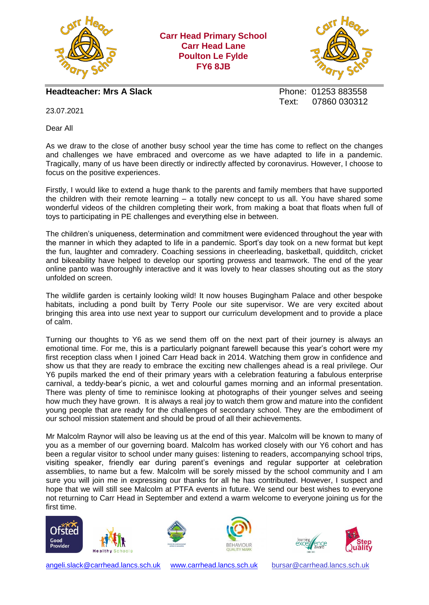

**Carr Head Primary School Carr Head Lane Poulton Le Fylde FY6 8JB**



**Headteacher: Mrs A Slack Phone: 01253 883558** 

Text: 07860 030312

23.07.2021

Dear All

As we draw to the close of another busy school year the time has come to reflect on the changes and challenges we have embraced and overcome as we have adapted to life in a pandemic. Tragically, many of us have been directly or indirectly affected by coronavirus. However, I choose to focus on the positive experiences.

Firstly, I would like to extend a huge thank to the parents and family members that have supported the children with their remote learning – a totally new concept to us all. You have shared some wonderful videos of the children completing their work, from making a boat that floats when full of toys to participating in PE challenges and everything else in between.

The children's uniqueness, determination and commitment were evidenced throughout the year with the manner in which they adapted to life in a pandemic. Sport's day took on a new format but kept the fun, laughter and comradery. Coaching sessions in cheerleading, basketball, quidditch, cricket and bikeability have helped to develop our sporting prowess and teamwork. The end of the year online panto was thoroughly interactive and it was lovely to hear classes shouting out as the story unfolded on screen.

The wildlife garden is certainly looking wild! It now houses Bugingham Palace and other bespoke habitats, including a pond built by Terry Poole our site supervisor. We are very excited about bringing this area into use next year to support our curriculum development and to provide a place of calm.

Turning our thoughts to Y6 as we send them off on the next part of their journey is always an emotional time. For me, this is a particularly poignant farewell because this year's cohort were my first reception class when I joined Carr Head back in 2014. Watching them grow in confidence and show us that they are ready to embrace the exciting new challenges ahead is a real privilege. Our Y6 pupils marked the end of their primary years with a celebration featuring a fabulous enterprise carnival, a teddy-bear's picnic, a wet and colourful games morning and an informal presentation. There was plenty of time to reminisce looking at photographs of their younger selves and seeing how much they have grown. It is always a real joy to watch them grow and mature into the confident young people that are ready for the challenges of secondary school. They are the embodiment of our school mission statement and should be proud of all their achievements.

Mr Malcolm Raynor will also be leaving us at the end of this year. Malcolm will be known to many of you as a member of our governing board. Malcolm has worked closely with our Y6 cohort and has been a regular visitor to school under many guises: listening to readers, accompanying school trips, visiting speaker, friendly ear during parent's evenings and regular supporter at celebration assemblies, to name but a few. Malcolm will be sorely missed by the school community and I am sure you will join me in expressing our thanks for all he has contributed. However, I suspect and hope that we will still see Malcolm at PTFA events in future. We send our best wishes to everyone not returning to Carr Head in September and extend a warm welcome to everyone joining us for the first time.











[angeli.slack@carrhead.lancs.sch.uk](mailto:angeli.slack@carrhead.lancs.sch.uk) [www.carrhead.lancs.sch.uk](http://www.carrhead.lancs.sch.uk/) [bursar@carrhead.lancs.sch.uk](mailto:bursar@carrhead.lancs.sch.uk)